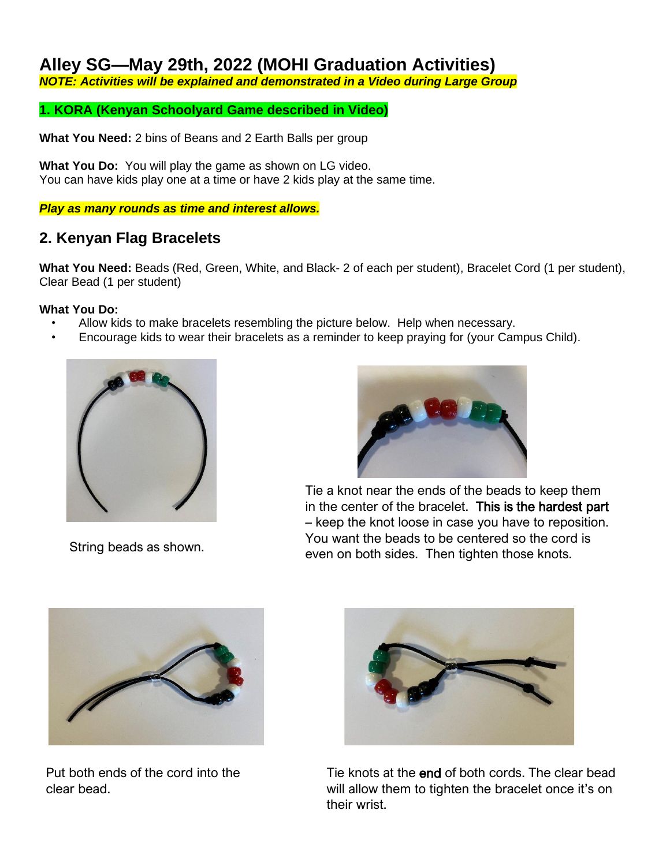# **Alley SG—May 29th, 2022 (MOHI Graduation Activities)**

*NOTE: Activities will be explained and demonstrated in a Video during Large Group*

### **1. KORA (Kenyan Schoolyard Game described in Video)**

**What You Need:** 2 bins of Beans and 2 Earth Balls per group

**What You Do:** You will play the game as shown on LG video. You can have kids play one at a time or have 2 kids play at the same time.

#### *Play as many rounds as time and interest allows.*

# **2. Kenyan Flag Bracelets**

**What You Need:** Beads (Red, Green, White, and Black- 2 of each per student), Bracelet Cord (1 per student), Clear Bead (1 per student)

#### **What You Do:**

- Allow kids to make bracelets resembling the picture below. Help when necessary.
- Encourage kids to wear their bracelets as a reminder to keep praying for (your Campus Child).



String beads as shown.



Tie a knot near the ends of the beads to keep them in the center of the bracelet. This is the hardest part – keep the knot loose in case you have to reposition. You want the beads to be centered so the cord is even on both sides. Then tighten those knots.



Put both ends of the cord into the clear bead.



Tie knots at the end of both cords. The clear bead will allow them to tighten the bracelet once it's on their wrist.